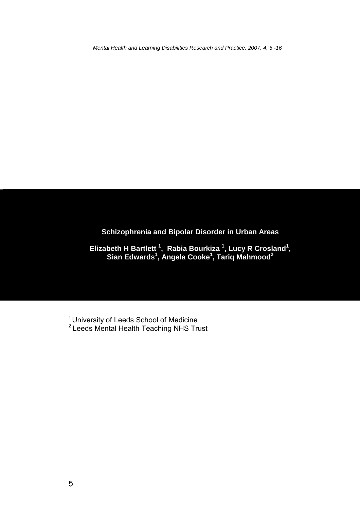*Mental Health and Learning Disabilities Research and Practice, 2007, 4, 5 -16* 

# **Schizophrenia and Bipolar Disorder in Urban Areas**

Elizabeth H Bartlett<sup>1</sup>, Rabia Bourkiza<sup>1</sup>, Lucy R Crosland<sup>1</sup>, **Sian Edwards<sup>1</sup> , Angela Cooke<sup>1</sup> , Tariq Mahmood2**

<sup>1</sup> University of Leeds School of Medicine  $2$  Leeds Mental Health Teaching NHS Trust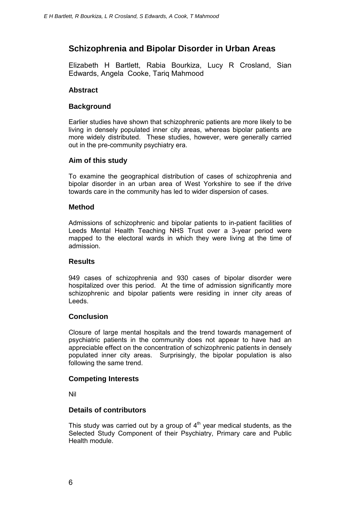## **Schizophrenia and Bipolar Disorder in Urban Areas**

Elizabeth H Bartlett, Rabia Bourkiza, Lucy R Crosland, Sian Edwards, Angela Cooke, Tariq Mahmood

### **Abstract**

#### **Background**

Earlier studies have shown that schizophrenic patients are more likely to be living in densely populated inner city areas, whereas bipolar patients are more widely distributed. These studies, however, were generally carried out in the pre-community psychiatry era.

### **Aim of this study**

To examine the geographical distribution of cases of schizophrenia and bipolar disorder in an urban area of West Yorkshire to see if the drive towards care in the community has led to wider dispersion of cases.

#### **Method**

Admissions of schizophrenic and bipolar patients to in-patient facilities of Leeds Mental Health Teaching NHS Trust over a 3-year period were mapped to the electoral wards in which they were living at the time of admission.

#### **Results**

949 cases of schizophrenia and 930 cases of bipolar disorder were hospitalized over this period. At the time of admission significantly more schizophrenic and bipolar patients were residing in inner city areas of Leeds.

#### **Conclusion**

Closure of large mental hospitals and the trend towards management of psychiatric patients in the community does not appear to have had an appreciable effect on the concentration of schizophrenic patients in densely populated inner city areas. Surprisingly, the bipolar population is also following the same trend.

#### **Competing Interests**

Nil

#### **Details of contributors**

This study was carried out by a group of  $4<sup>th</sup>$  year medical students, as the Selected Study Component of their Psychiatry, Primary care and Public Health module.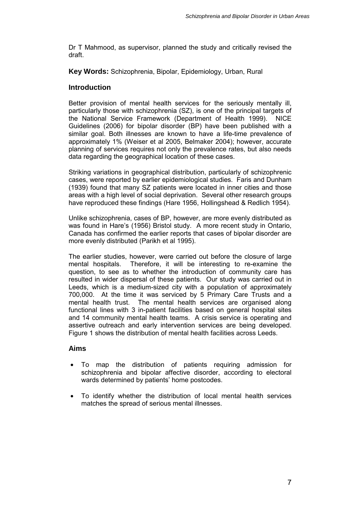Dr T Mahmood, as supervisor, planned the study and critically revised the draft.

**Key Words:** Schizophrenia, Bipolar, Epidemiology, Urban, Rural

#### **Introduction**

Better provision of mental health services for the seriously mentally ill, particularly those with schizophrenia (SZ), is one of the principal targets of the National Service Framework (Department of Health 1999). NICE Guidelines (2006) for bipolar disorder (BP) have been published with a similar goal. Both illnesses are known to have a life-time prevalence of approximately 1% (Weiser et al 2005, Belmaker 2004); however, accurate planning of services requires not only the prevalence rates, but also needs data regarding the geographical location of these cases.

Striking variations in geographical distribution, particularly of schizophrenic cases, were reported by earlier epidemiological studies. Faris and Dunham (1939) found that many SZ patients were located in inner cities and those areas with a high level of social deprivation. Several other research groups have reproduced these findings (Hare 1956, Hollingshead & Redlich 1954).

Unlike schizophrenia, cases of BP, however, are more evenly distributed as was found in Hare's (1956) Bristol study. A more recent study in Ontario, Canada has confirmed the earlier reports that cases of bipolar disorder are more evenly distributed (Parikh et al 1995).

The earlier studies, however, were carried out before the closure of large mental hospitals. Therefore, it will be interesting to re-examine the question, to see as to whether the introduction of community care has resulted in wider dispersal of these patients. Our study was carried out in Leeds, which is a medium-sized city with a population of approximately 700,000. At the time it was serviced by 5 Primary Care Trusts and a mental health trust. The mental health services are organised along functional lines with 3 in-patient facilities based on general hospital sites and 14 community mental health teams. A crisis service is operating and assertive outreach and early intervention services are being developed. Figure 1 shows the distribution of mental health facilities across Leeds.

## **Aims**

- To map the distribution of patients requiring admission for schizophrenia and bipolar affective disorder, according to electoral wards determined by patients' home postcodes.
- To identify whether the distribution of local mental health services matches the spread of serious mental illnesses.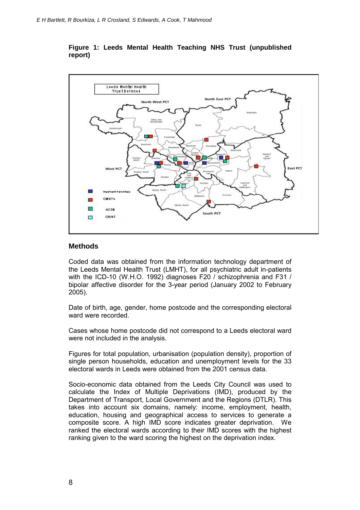

#### **Figure 1: Leeds Mental Health Teaching NHS Trust (unpublished report)**

#### **Methods**

Coded data was obtained from the information technology department of the Leeds Mental Health Trust (LMHT), for all psychiatric adult in-patients with the ICD-10 (W.H.O. 1992) diagnoses F20 / schizophrenia and F31 / bipolar affective disorder for the 3-year period (January 2002 to February 2005).

Date of birth, age, gender, home postcode and the corresponding electoral ward were recorded.

Cases whose home postcode did not correspond to a Leeds electoral ward were not included in the analysis.

Figures for total population, urbanisation (population density), proportion of single person households, education and unemployment levels for the 33 electoral wards in Leeds were obtained from the 2001 census data.

Socio-economic data obtained from the Leeds City Council was used to calculate the Index of Multiple Deprivations (IMD), produced by the Department of Transport, Local Government and the Regions (DTLR). This takes into account six domains, namely: income, employment, health, education, housing and geographical access to services to generate a composite score. A high IMD score indicates greater deprivation. We ranked the electoral wards according to their IMD scores with the highest ranking given to the ward scoring the highest on the deprivation index.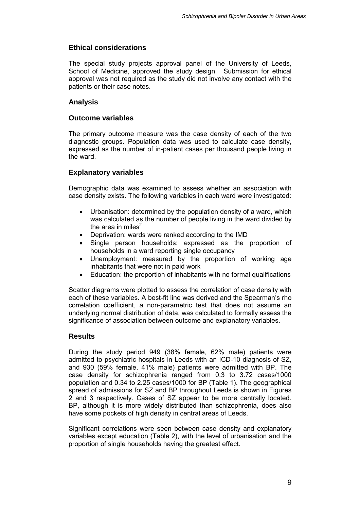### **Ethical considerations**

The special study projects approval panel of the University of Leeds, School of Medicine, approved the study design. Submission for ethical approval was not required as the study did not involve any contact with the patients or their case notes.

### **Analysis**

#### **Outcome variables**

The primary outcome measure was the case density of each of the two diagnostic groups. Population data was used to calculate case density, expressed as the number of in-patient cases per thousand people living in the ward.

## **Explanatory variables**

Demographic data was examined to assess whether an association with case density exists. The following variables in each ward were investigated:

- Urbanisation: determined by the population density of a ward, which was calculated as the number of people living in the ward divided by the area in miles<sup>2</sup>
- Deprivation: wards were ranked according to the IMD
- Single person households: expressed as the proportion of households in a ward reporting single occupancy
- Unemployment: measured by the proportion of working age inhabitants that were not in paid work
- Education: the proportion of inhabitants with no formal qualifications

Scatter diagrams were plotted to assess the correlation of case density with each of these variables. A best-fit line was derived and the Spearman's rho correlation coefficient, a non-parametric test that does not assume an underlying normal distribution of data, was calculated to formally assess the significance of association between outcome and explanatory variables.

#### **Results**

During the study period 949 (38% female, 62% male) patients were admitted to psychiatric hospitals in Leeds with an ICD-10 diagnosis of SZ, and 930 (59% female, 41% male) patients were admitted with BP. The case density for schizophrenia ranged from 0.3 to 3.72 cases/1000 population and 0.34 to 2.25 cases/1000 for BP (Table 1). The geographical spread of admissions for SZ and BP throughout Leeds is shown in Figures 2 and 3 respectively. Cases of SZ appear to be more centrally located. BP, although it is more widely distributed than schizophrenia, does also have some pockets of high density in central areas of Leeds.

Significant correlations were seen between case density and explanatory variables except education (Table 2), with the level of urbanisation and the proportion of single households having the greatest effect.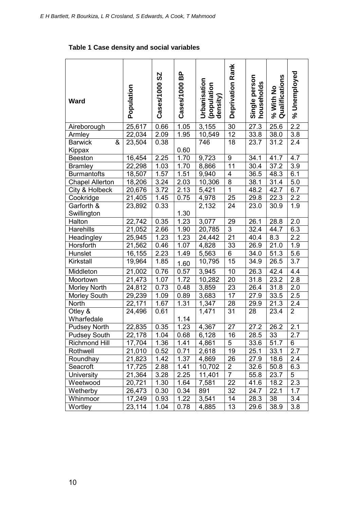# **Table 1 Case density and social variables**

| <b>Ward</b>                   | Population | 29<br>Cases/1000 | BP<br>Cases/1000 | Urbanisation<br>(population<br>density) | Deprivation Rank | Single person<br>households | Qualifications<br>% With No | Unemployed<br>ೢೕ |
|-------------------------------|------------|------------------|------------------|-----------------------------------------|------------------|-----------------------------|-----------------------------|------------------|
| Aireborough                   | 25,617     | 0.66             | 1.05             | 3,155                                   | 30               | 27.3                        | 25.6                        | 2.2              |
| Armley                        | 22,034     | 2.09             | 1.95             | 10,549                                  | $\overline{12}$  | 33.8                        | 38.0                        | 3.8              |
| &<br><b>Barwick</b><br>Kippax | 23,504     | 0.38             | 0.60             | 746                                     | 18               | 23.7                        | 31.2                        | 2.4              |
| <b>Beeston</b>                | 16,454     | 2.25             | 1.70             | 9,723                                   | $\boldsymbol{9}$ | 34.1                        | 41.7                        | 4.7              |
| <b>Bramley</b>                | 22,298     | 1.03             | 1.70             | 8,866                                   | 11               | 30.4                        | 37.2                        | 3.9              |
| <b>Burmantofts</b>            | 18,507     | 1.57             | 1.51             | 9,940                                   | 4                | 36.5                        | 48.3                        | 6.1              |
| <b>Chapel Allerton</b>        | 18,206     | 3.24             | 2.03             | 10,306                                  | 8                | 38.1                        | 31.4                        | 5.0              |
| City & Holbeck                | 20,676     | 3.72             | 2.13             | 5,421                                   | $\overline{1}$   | 48.2                        | 42.7                        | 6.7              |
| Cookridge                     | 21,405     | 1.45             | 0.75             | 4,978                                   | 25               | 29.8                        | 22.3                        | 2.2              |
| Garforth &<br>Swillington     | 23,892     | 0.33             | 1.30             | 2,132                                   | 24               | 23.0                        | 30.9                        | 1.9              |
| Halton                        | 22,742     | 0.35             | 1.23             | 3,077                                   | 29               | 26.1                        | 28.8                        | 2.0              |
| Harehills                     | 21,052     | 2.66             | 1.90             | 20,785                                  | $\overline{3}$   | 32.4                        | 44.7                        | 6.3              |
| Headingley                    | 25,945     | 1.23             | 1.23             | 24,442                                  | 21               | 40.4                        | 8.3                         | 2.2              |
| Horsforth                     | 21,562     | 0.46             | 1.07             | 4,828                                   | 33               | 26.9                        | 21.0                        | 1.9              |
| Hunslet                       | 16,155     | 2.23             | 1.49             | 5,563                                   | 6                | 34.0                        | 51.3                        | 5.6              |
| Kirkstall                     | 19,964     | 1.85             | 1.60             | 10,795                                  | 15               | 34.9                        | 26.5                        | 3.7              |
| Middleton                     | 21,002     | 0.76             | 0.57             | 3,945                                   | 10               | 26.3                        | 42.4                        | 4.4              |
| Moortown                      | 21,473     | 1.07             | 1.72             | 10,282                                  | 20               | 31.8                        | 23.2                        | 2.8              |
| Morley North                  | 24,812     | 0.73             | 0.48             | 3,859                                   | 23               | 26.4                        | 31.8                        | 2.0              |
| <b>Morley South</b>           | 29,239     | 1.09             | 0.89             | 3,683                                   | 17               | 27.9                        | 33.5                        | 2.5              |
| North                         | 22,171     | 1.67             | 1.31             | 1,347                                   | 28               | 29.9                        | 21.3                        | 2.4              |
| Otley &<br>Wharfedale         | 24,496     | 0.61             | 1.14             | 1,471                                   | 31               | 28                          | 23.4                        | $\overline{2}$   |
| <b>Pudsey North</b>           | 22,835     | 0.35             | 1.23             | 4,367                                   | 27               | 27.2                        | 26.2                        | 2.1              |
| <b>Pudsey South</b>           | 22,178     | 1.04             | 0.68             | 6,128                                   | 16               | 28.5                        | 33                          | 2.7              |
| <b>Richmond Hill</b>          | 17,704     | 1.36             | 1.41             | 4,861                                   | 5                | 33.6                        | 51.7                        | 6                |
| Rothwell                      | 21,010     | 0.52             | 0.71             | 2,618                                   | 19               | 25.1                        | 33.1                        | 2.7              |
| Roundhay                      | 21,823     | 1.42             | 1.37             | 4,869                                   | 26               | 27.9                        | 18.6                        | 2.4              |
| Seacroft                      | 17,725     | 2.88             | 1.41             | 10,702                                  | 2                | 32.6                        | 50.8                        | 6.3              |
| University                    | 21,364     | 3.28             | 2.25             | 11,401                                  | $\overline{7}$   | 55.8                        | 23.7                        | 5                |
| Weetwood                      | 20,721     | 1.30             | 1.64             | 7,581                                   | 22               | 41.6                        | 18.2                        | 2.3              |
| Wetherby                      | 26,473     | 0.30             | 0.34             | 891                                     | 32               | 24.7                        | 22.1                        | 1.7              |
| Whinmoor                      | 17,249     | 0.93             | 1.22             | 3,541                                   | 14               | 28.3                        | 38                          | 3.4              |
| Wortley                       | 23,114     | 1.04             | 0.78             | 4,885                                   | 13               | 29.6                        | 38.9                        | 3.8              |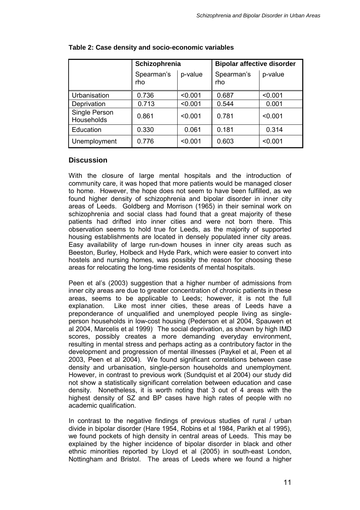|                             | Schizophrenia     |         | <b>Bipolar affective disorder</b> |         |  |  |
|-----------------------------|-------------------|---------|-----------------------------------|---------|--|--|
|                             | Spearman's<br>rho | p-value | Spearman's<br>rho                 | p-value |  |  |
| Urbanisation                | 0.736             | < 0.001 | 0.687                             | < 0.001 |  |  |
| Deprivation                 | 0.713             | < 0.001 | 0.544                             | 0.001   |  |  |
| Single Person<br>Households | 0.861             | < 0.001 | 0.781                             | < 0.001 |  |  |
| Education                   | 0.330             | 0.061   | 0.181                             | 0.314   |  |  |
| Unemployment                | 0.776             | < 0.001 | 0.603                             | < 0.001 |  |  |

#### **Table 2: Case density and socio-economic variables**

### **Discussion**

With the closure of large mental hospitals and the introduction of community care, it was hoped that more patients would be managed closer to home. However, the hope does not seem to have been fulfilled, as we found higher density of schizophrenia and bipolar disorder in inner city areas of Leeds. Goldberg and Morrison (1965) in their seminal work on schizophrenia and social class had found that a great majority of these patients had drifted into inner cities and were not born there. This observation seems to hold true for Leeds, as the majority of supported housing establishments are located in densely populated inner city areas. Easy availability of large run-down houses in inner city areas such as Beeston, Burley, Holbeck and Hyde Park, which were easier to convert into hostels and nursing homes, was possibly the reason for choosing these areas for relocating the long-time residents of mental hospitals.

Peen et al's (2003) suggestion that a higher number of admissions from inner city areas are due to greater concentration of chronic patients in these areas, seems to be applicable to Leeds; however, it is not the full explanation. Like most inner cities, these areas of Leeds have a preponderance of unqualified and unemployed people living as singleperson households in low-cost housing (Pederson et al 2004, Spauwen et al 2004, Marcelis et al 1999). The social deprivation, as shown by high IMD scores, possibly creates a more demanding everyday environment, resulting in mental stress and perhaps acting as a contributory factor in the development and progression of mental illnesses (Paykel et al, Peen et al 2003, Peen et al 2004). We found significant correlations between case density and urbanisation, single-person households and unemployment. However, in contrast to previous work (Sundquist et al 2004) our study did not show a statistically significant correlation between education and case density. Nonetheless, it is worth noting that 3 out of 4 areas with the highest density of SZ and BP cases have high rates of people with no academic qualification.

In contrast to the negative findings of previous studies of rural / urban divide in bipolar disorder (Hare 1954, Robins et al 1984, Parikh et al 1995), we found pockets of high density in central areas of Leeds. This may be explained by the higher incidence of bipolar disorder in black and other ethnic minorities reported by Lloyd et al (2005) in south-east London, Nottingham and Bristol. The areas of Leeds where we found a higher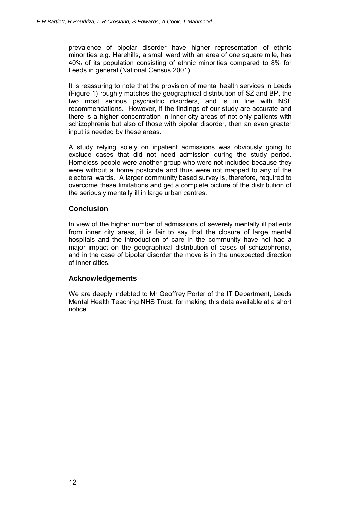prevalence of bipolar disorder have higher representation of ethnic minorities e.g. Harehills, a small ward with an area of one square mile, has 40% of its population consisting of ethnic minorities compared to 8% for Leeds in general (National Census 2001).

It is reassuring to note that the provision of mental health services in Leeds (Figure 1) roughly matches the geographical distribution of SZ and BP, the two most serious psychiatric disorders, and is in line with NSF recommendations. However, if the findings of our study are accurate and there is a higher concentration in inner city areas of not only patients with schizophrenia but also of those with bipolar disorder, then an even greater input is needed by these areas.

A study relying solely on inpatient admissions was obviously going to exclude cases that did not need admission during the study period. Homeless people were another group who were not included because they were without a home postcode and thus were not mapped to any of the electoral wards. A larger community based survey is, therefore, required to overcome these limitations and get a complete picture of the distribution of the seriously mentally ill in large urban centres.

## **Conclusion**

In view of the higher number of admissions of severely mentally ill patients from inner city areas, it is fair to say that the closure of large mental hospitals and the introduction of care in the community have not had a major impact on the geographical distribution of cases of schizophrenia, and in the case of bipolar disorder the move is in the unexpected direction of inner cities.

## **Acknowledgements**

We are deeply indebted to Mr Geoffrey Porter of the IT Department, Leeds Mental Health Teaching NHS Trust, for making this data available at a short notice.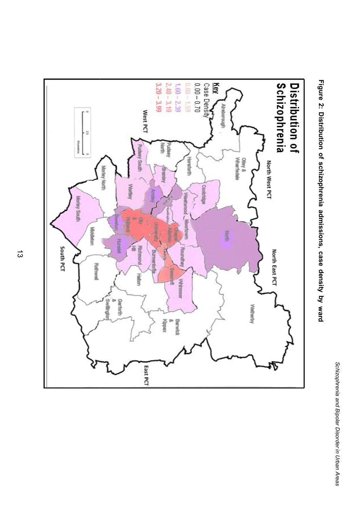



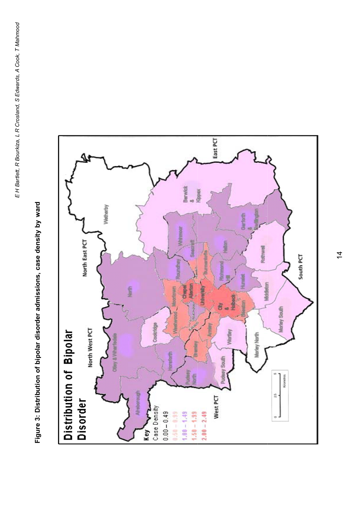Figure 3: Distribution of bipolar disorder admissions, case density by ward **Figure 3: Distribution of bipolar disorder admissions, case density by ward** 

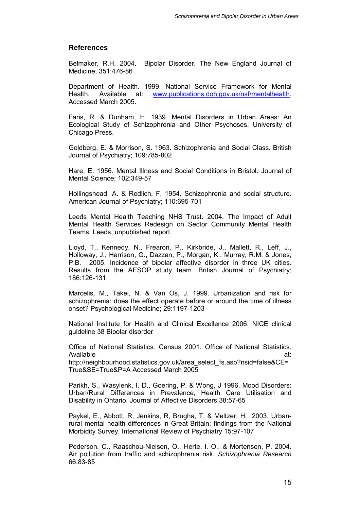#### **References**

Belmaker, R.H. 2004. Bipolar Disorder. The New England Journal of Medicine; 351:476-86

Department of Health. 1999. National Service Framework for Mental Health. Available at: www.publications.doh.gov.uk/nsf/mentalhealth. Accessed March 2005.

Faris, R. & Dunham, H. 1939. Mental Disorders in Urban Areas: An Ecological Study of Schizophrenia and Other Psychoses. University of Chicago Press.

Goldberg, E. & Morrison, S. 1963. Schizophrenia and Social Class. British Journal of Psychiatry; 109:785-802

Hare, E. 1956. Mental Illness and Social Conditions in Bristol. Journal of Mental Science; 102:349-57

Hollingshead, A. & Redlich, F. 1954. Schizophrenia and social structure. American Journal of Psychiatry; 110:695-701

Leeds Mental Health Teaching NHS Trust. 2004. The Impact of Adult Mental Health Services Redesign on Sector Community Mental Health Teams. Leeds, unpublished report.

Lloyd, T., Kennedy, N., Frearon, P., Kirkbride, J., Mallett, R., Leff, J., Holloway, J., Harrison, G., Dazzan, P., Morgan, K., Murray, R.M. & Jones, P.B. 2005. Incidence of bipolar affective disorder in three UK cities. Results from the AESOP study team. British Journal of Psychiatry; 186:126-131

Marcelis, M., Takei, N. & Van Os, J. 1999. Urbanization and risk for schizophrenia: does the effect operate before or around the time of illness onset? Psychological Medicine; 29:1197-1203

National Institute for Health and Clinical Excellence 2006. NICE clinical guideline 38 Bipolar disorder

Office of National Statistics. Census 2001. Office of National Statistics. Available at: http://neighbourhood.statistics.gov.uk/area\_select\_fs.asp?nsid=false&CE= True&SE=True&P=A Accessed March 2005

Parikh, S., Wasylenk, I. D., Goering, P. & Wong, J 1996. Mood Disorders: Urban/Rural Differences in Prevalence, Health Care Utilisation and Disability in Ontario. Journal of Affective Disorders 38:57-65

Paykel, E., Abbott, R, Jenkins, R, Brugha, T. & Meltzer, H. 2003. Urbanrural mental health differences in Great Britain: findings from the National Morbidity Survey. International Review of Psychiatry 15:97-107

Pederson, C., Raaschou-Nielsen, O., Herte, l. O., & Mortensen, P. 2004. Air pollution from traffic and schizophrenia risk. *Schizophrenia Research*  66:83-85